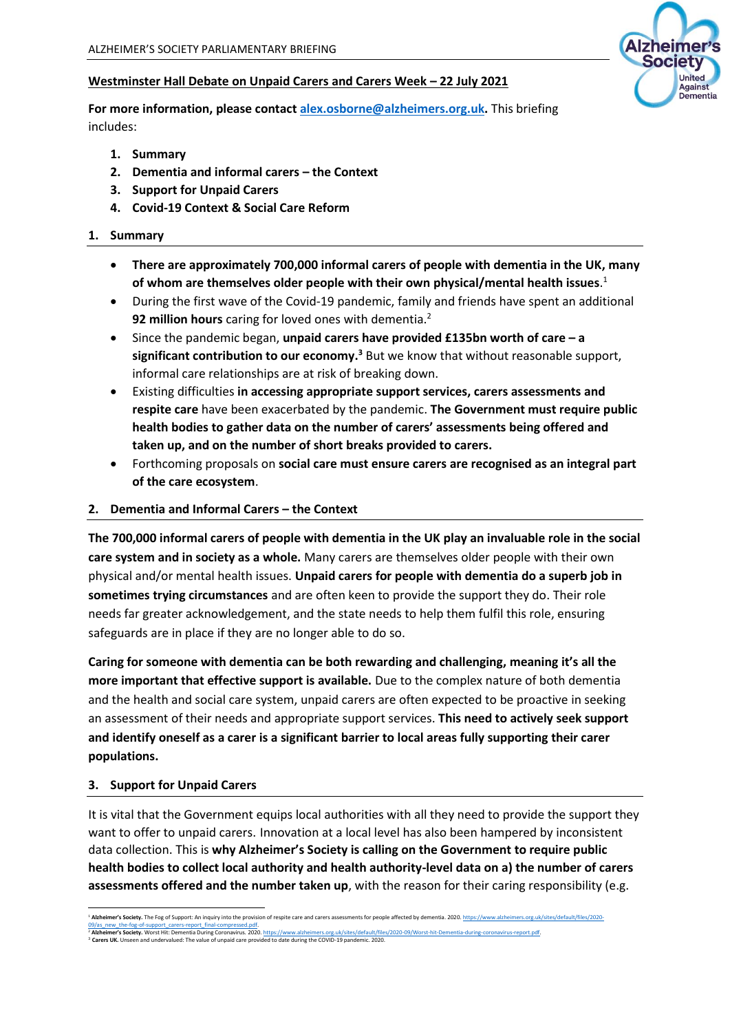# **Westminster Hall Debate on Unpaid Carers and Carers Week – 22 July 2021**

**For more information, please contac[t alex.osborne@alzheimers.org.uk.](mailto:alex.osborne@alzheimers.org.uk)** This briefing includes:

- **1. Summary**
- **2. Dementia and informal carers – the Context**
- **3. Support for Unpaid Carers**
- **4. Covid-19 Context & Social Care Reform**

### **1. Summary**

- **There are approximately 700,000 informal carers of people with dementia in the UK, many of whom are themselves older people with their own physical/mental health issues**. 1
- During the first wave of the Covid-19 pandemic, family and friends have spent an additional **92 million hours** caring for loved ones with dementia.<sup>2</sup>
- Since the pandemic began, **unpaid carers have provided £135bn worth of care – a significant contribution to our economy.<sup>3</sup>** But we know that without reasonable support, informal care relationships are at risk of breaking down.
- Existing difficulties **in accessing appropriate support services, carers assessments and respite care** have been exacerbated by the pandemic. **The Government must require public health bodies to gather data on the number of carers' assessments being offered and taken up, and on the number of short breaks provided to carers.**
- Forthcoming proposals on **social care must ensure carers are recognised as an integral part of the care ecosystem**.

### **2. Dementia and Informal Carers – the Context**

**The 700,000 informal carers of people with dementia in the UK play an invaluable role in the social care system and in society as a whole.** Many carers are themselves older people with their own physical and/or mental health issues. **Unpaid carers for people with dementia do a superb job in sometimes trying circumstances** and are often keen to provide the support they do. Their role needs far greater acknowledgement, and the state needs to help them fulfil this role, ensuring safeguards are in place if they are no longer able to do so.

**Caring for someone with dementia can be both rewarding and challenging, meaning it's all the more important that effective support is available.** Due to the complex nature of both dementia and the health and social care system, unpaid carers are often expected to be proactive in seeking an assessment of their needs and appropriate support services. **This need to actively seek support and identify oneself as a carer is a significant barrier to local areas fully supporting their carer populations.**

#### **3. Support for Unpaid Carers**

It is vital that the Government equips local authorities with all they need to provide the support they want to offer to unpaid carers. Innovation at a local level has also been hampered by inconsistent data collection. This is **why Alzheimer's Society is calling on the Government to require public health bodies to collect local authority and health authority-level data on a) the number of carers assessments offered and the number taken up**, with the reason for their caring responsibility (e.g.



<sup>&</sup>lt;sup>1</sup> Al<mark>zheimer's Society.</mark> The Fog of Support: An inquiry into the provision of respite care and carers assessments for people affected by dementia. 2020. <u>https://</u> <u>09/as\_new\_the-fog-of-support\_carers-report\_final-compressed.pdf.</u><br><sup>2</sup> **Alcheimer's Society. Worst Hit: Dementia During Coronavins. 2020.** <u>https://www.alzheimers.org.uk/sites/default/files/2020-09/Worst-hit-Dementia-durin</u>